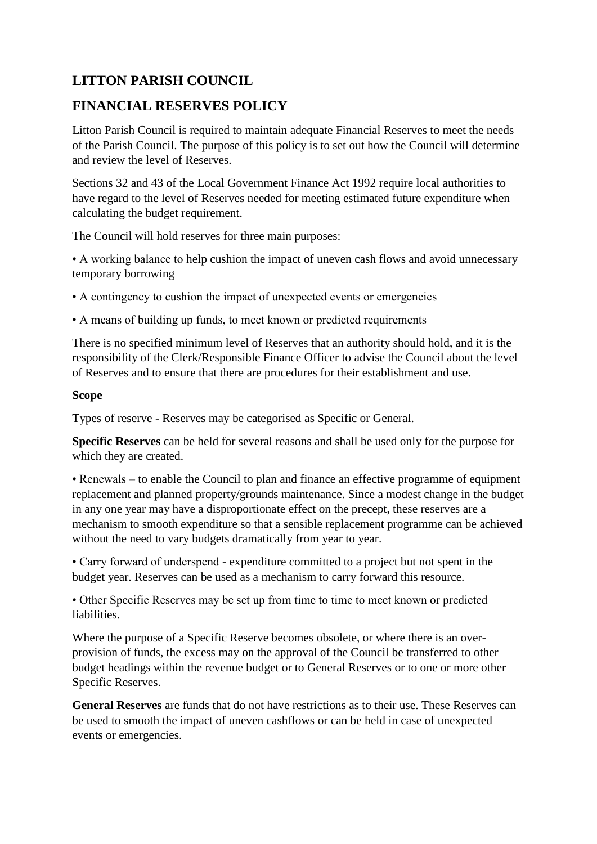# **LITTON PARISH COUNCIL**

# **FINANCIAL RESERVES POLICY**

Litton Parish Council is required to maintain adequate Financial Reserves to meet the needs of the Parish Council. The purpose of this policy is to set out how the Council will determine and review the level of Reserves.

Sections 32 and 43 of the Local Government Finance Act 1992 require local authorities to have regard to the level of Reserves needed for meeting estimated future expenditure when calculating the budget requirement.

The Council will hold reserves for three main purposes:

• A working balance to help cushion the impact of uneven cash flows and avoid unnecessary temporary borrowing

• A contingency to cushion the impact of unexpected events or emergencies

• A means of building up funds, to meet known or predicted requirements

There is no specified minimum level of Reserves that an authority should hold, and it is the responsibility of the Clerk/Responsible Finance Officer to advise the Council about the level of Reserves and to ensure that there are procedures for their establishment and use.

#### **Scope**

Types of reserve - Reserves may be categorised as Specific or General.

**Specific Reserves** can be held for several reasons and shall be used only for the purpose for which they are created.

• Renewals – to enable the Council to plan and finance an effective programme of equipment replacement and planned property/grounds maintenance. Since a modest change in the budget in any one year may have a disproportionate effect on the precept, these reserves are a mechanism to smooth expenditure so that a sensible replacement programme can be achieved without the need to vary budgets dramatically from year to year.

• Carry forward of underspend - expenditure committed to a project but not spent in the budget year. Reserves can be used as a mechanism to carry forward this resource.

• Other Specific Reserves may be set up from time to time to meet known or predicted liabilities.

Where the purpose of a Specific Reserve becomes obsolete, or where there is an overprovision of funds, the excess may on the approval of the Council be transferred to other budget headings within the revenue budget or to General Reserves or to one or more other Specific Reserves.

**General Reserves** are funds that do not have restrictions as to their use. These Reserves can be used to smooth the impact of uneven cashflows or can be held in case of unexpected events or emergencies.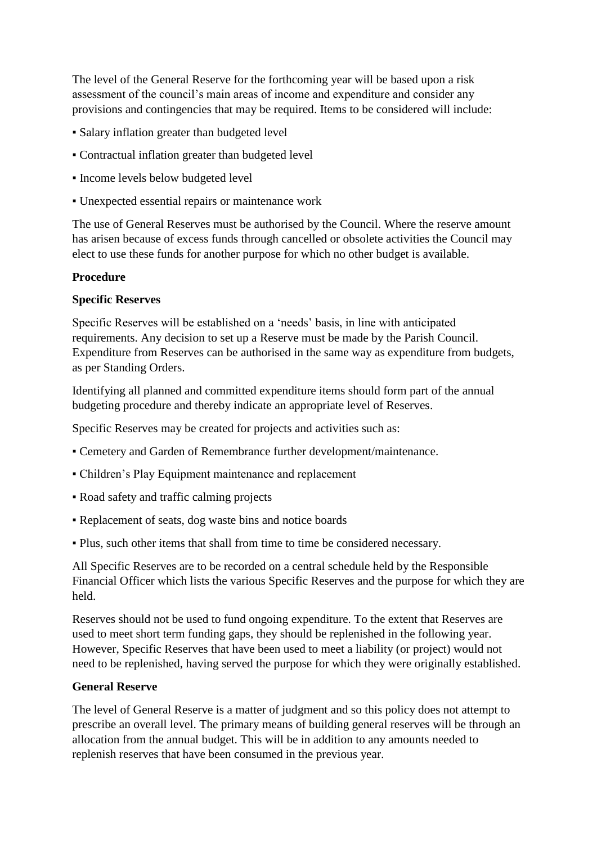The level of the General Reserve for the forthcoming year will be based upon a risk assessment of the council's main areas of income and expenditure and consider any provisions and contingencies that may be required. Items to be considered will include:

- Salary inflation greater than budgeted level
- Contractual inflation greater than budgeted level
- Income levels below budgeted level
- Unexpected essential repairs or maintenance work

The use of General Reserves must be authorised by the Council. Where the reserve amount has arisen because of excess funds through cancelled or obsolete activities the Council may elect to use these funds for another purpose for which no other budget is available.

### **Procedure**

#### **Specific Reserves**

Specific Reserves will be established on a 'needs' basis, in line with anticipated requirements. Any decision to set up a Reserve must be made by the Parish Council. Expenditure from Reserves can be authorised in the same way as expenditure from budgets, as per Standing Orders.

Identifying all planned and committed expenditure items should form part of the annual budgeting procedure and thereby indicate an appropriate level of Reserves.

Specific Reserves may be created for projects and activities such as:

- Cemetery and Garden of Remembrance further development/maintenance.
- Children's Play Equipment maintenance and replacement
- Road safety and traffic calming projects
- Replacement of seats, dog waste bins and notice boards
- Plus, such other items that shall from time to time be considered necessary.

All Specific Reserves are to be recorded on a central schedule held by the Responsible Financial Officer which lists the various Specific Reserves and the purpose for which they are held.

Reserves should not be used to fund ongoing expenditure. To the extent that Reserves are used to meet short term funding gaps, they should be replenished in the following year. However, Specific Reserves that have been used to meet a liability (or project) would not need to be replenished, having served the purpose for which they were originally established.

#### **General Reserve**

The level of General Reserve is a matter of judgment and so this policy does not attempt to prescribe an overall level. The primary means of building general reserves will be through an allocation from the annual budget. This will be in addition to any amounts needed to replenish reserves that have been consumed in the previous year.